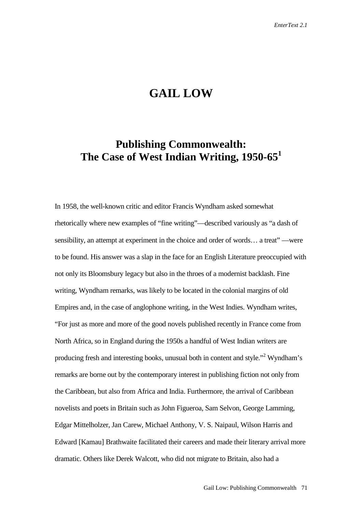## **GAIL LOW**

## **Publishing Commonwealth: The Case of West Indian Writing, 1950-65<sup>1</sup>**

In 1958, the well-known critic and editor Francis Wyndham asked somewhat rhetorically where new examples of "fine writing"—described variously as "a dash of sensibility, an attempt at experiment in the choice and order of words… a treat" —were to be found. His answer was a slap in the face for an English Literature preoccupied with not only its Bloomsbury legacy but also in the throes of a modernist backlash. Fine writing, Wyndham remarks, was likely to be located in the colonial margins of old Empires and, in the case of anglophone writing, in the West Indies. Wyndham writes, "For just as more and more of the good novels published recently in France come from North Africa, so in England during the 1950s a handful of West Indian writers are producing fresh and interesting books, unusual both in content and style."<sup>2</sup> Wyndham's remarks are borne out by the contemporary interest in publishing fiction not only from the Caribbean, but also from Africa and India. Furthermore, the arrival of Caribbean novelists and poets in Britain such as John Figueroa, Sam Selvon, George Lamming, Edgar Mittelholzer, Jan Carew, Michael Anthony, V. S. Naipaul, Wilson Harris and Edward [Kamau] Brathwaite facilitated their careers and made their literary arrival more dramatic. Others like Derek Walcott, who did not migrate to Britain, also had a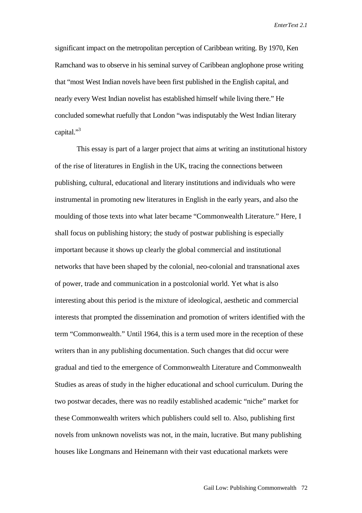significant impact on the metropolitan perception of Caribbean writing. By 1970, Ken Ramchand was to observe in his seminal survey of Caribbean anglophone prose writing that "most West Indian novels have been first published in the English capital, and nearly every West Indian novelist has established himself while living there." He concluded somewhat ruefully that London "was indisputably the West Indian literary capital."<sup>3</sup>

This essay is part of a larger project that aims at writing an institutional history of the rise of literatures in English in the UK, tracing the connections between publishing, cultural, educational and literary institutions and individuals who were instrumental in promoting new literatures in English in the early years, and also the moulding of those texts into what later became "Commonwealth Literature." Here, I shall focus on publishing history; the study of postwar publishing is especially important because it shows up clearly the global commercial and institutional networks that have been shaped by the colonial, neo-colonial and transnational axes of power, trade and communication in a postcolonial world. Yet what is also interesting about this period is the mixture of ideological, aesthetic and commercial interests that prompted the dissemination and promotion of writers identified with the term "Commonwealth." Until 1964, this is a term used more in the reception of these writers than in any publishing documentation. Such changes that did occur were gradual and tied to the emergence of Commonwealth Literature and Commonwealth Studies as areas of study in the higher educational and school curriculum. During the two postwar decades, there was no readily established academic "niche" market for these Commonwealth writers which publishers could sell to. Also, publishing first novels from unknown novelists was not, in the main, lucrative. But many publishing houses like Longmans and Heinemann with their vast educational markets were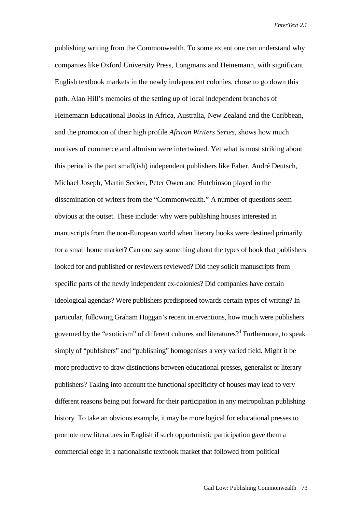publishing writing from the Commonwealth. To some extent one can understand why companies like Oxford University Press, Longmans and Heinemann, with significant English textbook markets in the newly independent colonies, chose to go down this path. Alan Hill's memoirs of the setting up of local independent branches of Heinemann Educational Books in Africa, Australia, New Zealand and the Caribbean, and the promotion of their high profile *African Writers Series*, shows how much motives of commerce and altruism were intertwined. Yet what is most striking about this period is the part small(ish) independent publishers like Faber, André Deutsch, Michael Joseph, Martin Secker, Peter Owen and Hutchinson played in the dissemination of writers from the "Commonwealth." A number of questions seem obvious at the outset. These include: why were publishing houses interested in manuscripts from the non-European world when literary books were destined primarily for a small home market? Can one say something about the types of book that publishers looked for and published or reviewers reviewed? Did they solicit manuscripts from specific parts of the newly independent ex-colonies? Did companies have certain ideological agendas? Were publishers predisposed towards certain types of writing? In particular, following Graham Huggan's recent interventions, how much were publishers governed by the "exoticism" of different cultures and literatures?<sup>4</sup> Furthermore, to speak simply of "publishers" and "publishing" homogenises a very varied field. Might it be more productive to draw distinctions between educational presses, generalist or literary publishers? Taking into account the functional specificity of houses may lead to very different reasons being put forward for their participation in any metropolitan publishing history. To take an obvious example, it may be more logical for educational presses to promote new literatures in English if such opportunistic participation gave them a commercial edge in a nationalistic textbook market that followed from political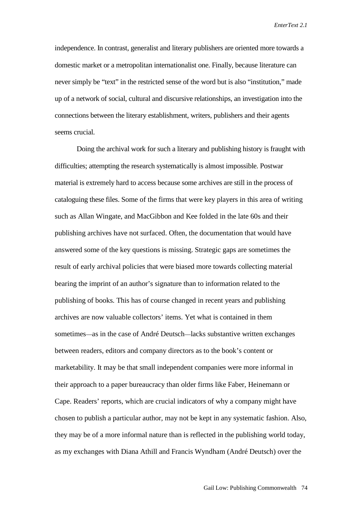independence. In contrast, generalist and literary publishers are oriented more towards a domestic market or a metropolitan internationalist one. Finally, because literature can never simply be "text" in the restricted sense of the word but is also "institution," made up of a network of social, cultural and discursive relationships, an investigation into the connections between the literary establishment, writers, publishers and their agents seems crucial.

Doing the archival work for such a literary and publishing history is fraught with difficulties; attempting the research systematically is almost impossible. Postwar material is extremely hard to access because some archives are still in the process of cataloguing these files. Some of the firms that were key players in this area of writing such as Allan Wingate, and MacGibbon and Kee folded in the late 60s and their publishing archives have not surfaced. Often, the documentation that would have answered some of the key questions is missing. Strategic gaps are sometimes the result of early archival policies that were biased more towards collecting material bearing the imprint of an author's signature than to information related to the publishing of books. This has of course changed in recent years and publishing archives are now valuable collectors' items. Yet what is contained in them sometimes—as in the case of André Deutsch—lacks substantive written exchanges between readers, editors and company directors as to the book's content or marketability. It may be that small independent companies were more informal in their approach to a paper bureaucracy than older firms like Faber, Heinemann or Cape. Readers' reports, which are crucial indicators of why a company might have chosen to publish a particular author, may not be kept in any systematic fashion. Also, they may be of a more informal nature than is reflected in the publishing world today, as my exchanges with Diana Athill and Francis Wyndham (André Deutsch) over the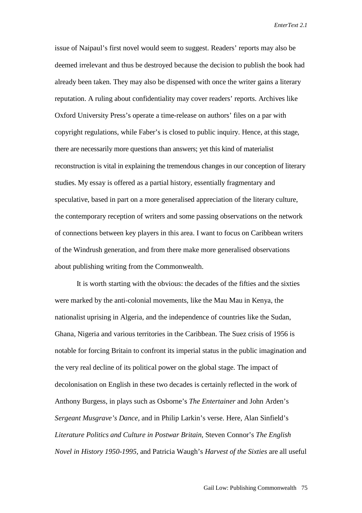issue of Naipaul's first novel would seem to suggest. Readers' reports may also be deemed irrelevant and thus be destroyed because the decision to publish the book had already been taken. They may also be dispensed with once the writer gains a literary reputation. A ruling about confidentiality may cover readers' reports. Archives like Oxford University Press's operate a time-release on authors' files on a par with copyright regulations, while Faber's is closed to public inquiry. Hence, at this stage, there are necessarily more questions than answers; yet this kind of materialist reconstruction is vital in explaining the tremendous changes in our conception of literary studies. My essay is offered as a partial history, essentially fragmentary and speculative, based in part on a more generalised appreciation of the literary culture, the contemporary reception of writers and some passing observations on the network of connections between key players in this area. I want to focus on Caribbean writers of the Windrush generation, and from there make more generalised observations about publishing writing from the Commonwealth.

It is worth starting with the obvious: the decades of the fifties and the sixties were marked by the anti-colonial movements, like the Mau Mau in Kenya, the nationalist uprising in Algeria, and the independence of countries like the Sudan, Ghana, Nigeria and various territories in the Caribbean. The Suez crisis of 1956 is notable for forcing Britain to confront its imperial status in the public imagination and the very real decline of its political power on the global stage. The impact of decolonisation on English in these two decades is certainly reflected in the work of Anthony Burgess, in plays such as Osborne's *The Entertainer* and John Arden's *Sergeant Musgrave's Dance,* and in Philip Larkin's verse. Here, Alan Sinfield's *Literature Politics and Culture in Postwar Britain,* Steven Connor's *The English Novel in History 1950-1995*, and Patricia Waugh's *Harvest of the Sixties* are all useful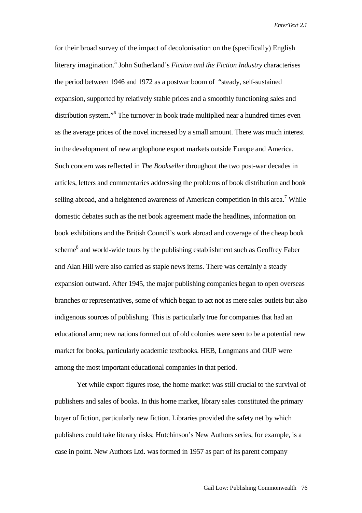for their broad survey of the impact of decolonisation on the (specifically) English literary imagination.5 John Sutherland's *Fiction and the Fiction Industry* characterises the period between 1946 and 1972 as a postwar boom of "steady, self-sustained expansion, supported by relatively stable prices and a smoothly functioning sales and distribution system."<sup>6</sup> The turnover in book trade multiplied near a hundred times even as the average prices of the novel increased by a small amount. There was much interest in the development of new anglophone export markets outside Europe and America. Such concern was reflected in *The Bookseller* throughout the two post-war decades in articles, letters and commentaries addressing the problems of book distribution and book selling abroad, and a heightened awareness of American competition in this area.<sup>7</sup> While domestic debates such as the net book agreement made the headlines, information on book exhibitions and the British Council's work abroad and coverage of the cheap book scheme<sup>8</sup> and world-wide tours by the publishing establishment such as Geoffrey Faber and Alan Hill were also carried as staple news items. There was certainly a steady expansion outward. After 1945, the major publishing companies began to open overseas branches or representatives, some of which began to act not as mere sales outlets but also indigenous sources of publishing. This is particularly true for companies that had an educational arm; new nations formed out of old colonies were seen to be a potential new market for books, particularly academic textbooks. HEB, Longmans and OUP were among the most important educational companies in that period.

Yet while export figures rose, the home market was still crucial to the survival of publishers and sales of books. In this home market, library sales constituted the primary buyer of fiction, particularly new fiction. Libraries provided the safety net by which publishers could take literary risks; Hutchinson's New Authors series, for example, is a case in point. New Authors Ltd. was formed in 1957 as part of its parent company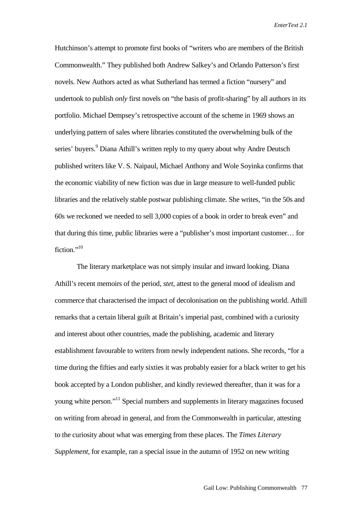Hutchinson's attempt to promote first books of "writers who are members of the British Commonwealth." They published both Andrew Salkey's and Orlando Patterson's first novels. New Authors acted as what Sutherland has termed a fiction "nursery" and undertook to publish *only* first novels on "the basis of profit-sharing" by all authors in its portfolio. Michael Dempsey's retrospective account of the scheme in 1969 shows an underlying pattern of sales where libraries constituted the overwhelming bulk of the series' buyers.<sup>9</sup> Diana Athill's written reply to my query about why Andre Deutsch published writers like V. S. Naipaul, Michael Anthony and Wole Soyinka confirms that the economic viability of new fiction was due in large measure to well-funded public libraries and the relatively stable postwar publishing climate. She writes, "in the 50s and 60s we reckoned we needed to sell 3,000 copies of a book in order to break even" and that during this time, public libraries were a "publisher's most important customer… for fiction."<sup>10</sup>

The literary marketplace was not simply insular and inward looking. Diana Athill's recent memoirs of the period, *stet*, attest to the general mood of idealism and commerce that characterised the impact of decolonisation on the publishing world. Athill remarks that a certain liberal guilt at Britain's imperial past, combined with a curiosity and interest about other countries, made the publishing, academic and literary establishment favourable to writers from newly independent nations. She records, "for a time during the fifties and early sixties it was probably easier for a black writer to get his book accepted by a London publisher, and kindly reviewed thereafter, than it was for a young white person."11 Special numbers and supplements in literary magazines focused on writing from abroad in general, and from the Commonwealth in particular, attesting to the curiosity about what was emerging from these places. The *Times Literary Supplement,* for example, ran a special issue in the autumn of 1952 on new writing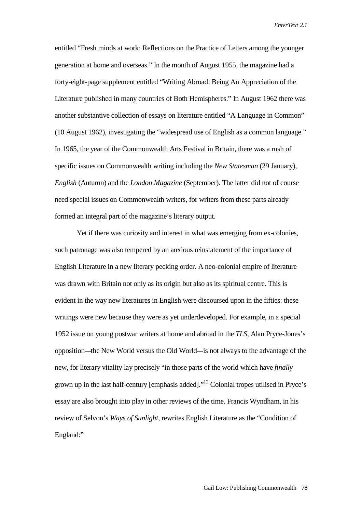entitled "Fresh minds at work: Reflections on the Practice of Letters among the younger generation at home and overseas." In the month of August 1955, the magazine had a forty-eight-page supplement entitled "Writing Abroad: Being An Appreciation of the Literature published in many countries of Both Hemispheres." In August 1962 there was another substantive collection of essays on literature entitled "A Language in Common" (10 August 1962), investigating the "widespread use of English as a common language." In 1965, the year of the Commonwealth Arts Festival in Britain, there was a rush of specific issues on Commonwealth writing including the *New Statesman* (29 January), *English* (Autumn) and the *London Magazine* (September). The latter did not of course need special issues on Commonwealth writers, for writers from these parts already formed an integral part of the magazine's literary output.

Yet if there was curiosity and interest in what was emerging from ex-colonies, such patronage was also tempered by an anxious reinstatement of the importance of English Literature in a new literary pecking order. A neo-colonial empire of literature was drawn with Britain not only as its origin but also as its spiritual centre. This is evident in the way new literatures in English were discoursed upon in the fifties: these writings were new because they were as yet underdeveloped. For example, in a special 1952 issue on young postwar writers at home and abroad in the *TLS*, Alan Pryce-Jones's opposition—the New World versus the Old World—is not always to the advantage of the new, for literary vitality lay precisely "in those parts of the world which have *finally* grown up in the last half-century [emphasis added]."12 Colonial tropes utilised in Pryce's essay are also brought into play in other reviews of the time. Francis Wyndham, in his review of Selvon's *Ways of Sunlight*, rewrites English Literature as the "Condition of England:"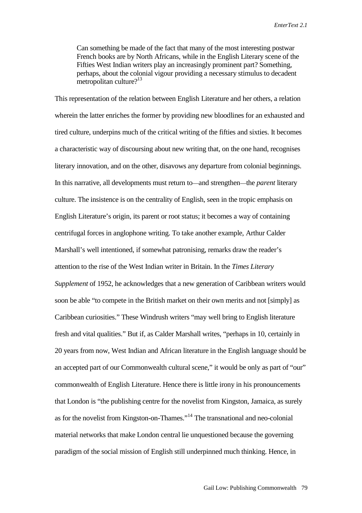Can something be made of the fact that many of the most interesting postwar French books are by North Africans, while in the English Literary scene of the Fifties West Indian writers play an increasingly prominent part? Something, perhaps, about the colonial vigour providing a necessary stimulus to decadent metropolitan culture?<sup>13</sup>

This representation of the relation between English Literature and her others, a relation wherein the latter enriches the former by providing new bloodlines for an exhausted and tired culture, underpins much of the critical writing of the fifties and sixties. It becomes a characteristic way of discoursing about new writing that, on the one hand, recognises literary innovation, and on the other, disavows any departure from colonial beginnings. In this narrative, all developments must return to—and strengthen—the *parent* literary culture. The insistence is on the centrality of English, seen in the tropic emphasis on English Literature's origin, its parent or root status; it becomes a way of containing centrifugal forces in anglophone writing. To take another example, Arthur Calder Marshall's well intentioned, if somewhat patronising, remarks draw the reader's attention to the rise of the West Indian writer in Britain. In the *Times Literary Supplement* of 1952, he acknowledges that a new generation of Caribbean writers would soon be able "to compete in the British market on their own merits and not [simply] as Caribbean curiosities." These Windrush writers "may well bring to English literature fresh and vital qualities." But if, as Calder Marshall writes, "perhaps in 10, certainly in 20 years from now, West Indian and African literature in the English language should be an accepted part of our Commonwealth cultural scene," it would be only as part of "our" commonwealth of English Literature. Hence there is little irony in his pronouncements that London is "the publishing centre for the novelist from Kingston, Jamaica, as surely as for the novelist from Kingston-on-Thames."<sup>14</sup> The transnational and neo-colonial material networks that make London central lie unquestioned because the governing paradigm of the social mission of English still underpinned much thinking. Hence, in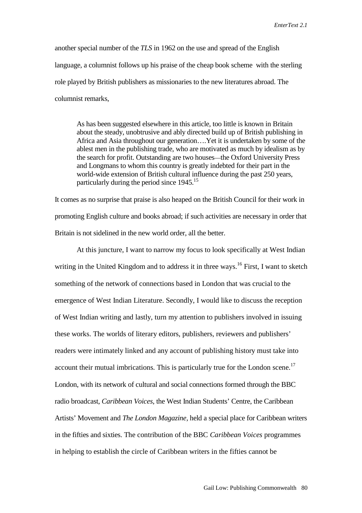another special number of the *TLS* in 1962 on the use and spread of the English language, a columnist follows up his praise of the cheap book scheme with the sterling role played by British publishers as missionaries to the new literatures abroad. The columnist remarks,

As has been suggested elsewhere in this article, too little is known in Britain about the steady, unobtrusive and ably directed build up of British publishing in Africa and Asia throughout our generation….Yet it is undertaken by some of the ablest men in the publishing trade, who are motivated as much by idealism as by the search for profit. Outstanding are two houses—the Oxford University Press and Longmans to whom this country is greatly indebted for their part in the world-wide extension of British cultural influence during the past 250 years, particularly during the period since  $1945$ <sup>15</sup>

It comes as no surprise that praise is also heaped on the British Council for their work in promoting English culture and books abroad; if such activities are necessary in order that Britain is not sidelined in the new world order, all the better.

At this juncture, I want to narrow my focus to look specifically at West Indian writing in the United Kingdom and to address it in three ways.<sup>16</sup> First, I want to sketch something of the network of connections based in London that was crucial to the emergence of West Indian Literature. Secondly, I would like to discuss the reception of West Indian writing and lastly, turn my attention to publishers involved in issuing these works. The worlds of literary editors, publishers, reviewers and publishers' readers were intimately linked and any account of publishing history must take into account their mutual imbrications. This is particularly true for the London scene.<sup>17</sup> London, with its network of cultural and social connections formed through the BBC radio broadcast, *Caribbean Voices*, the West Indian Students' Centre, the Caribbean Artists' Movement and *The London Magazine,* held a special place for Caribbean writers in the fifties and sixties. The contribution of the BBC *Caribbean Voices* programmes in helping to establish the circle of Caribbean writers in the fifties cannot be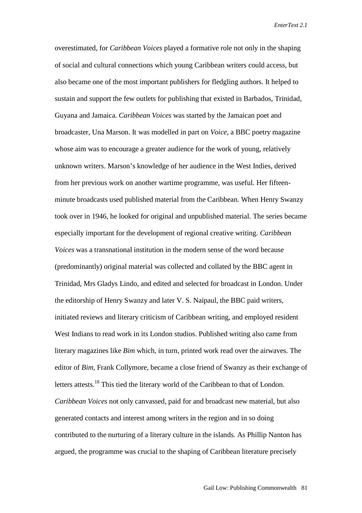overestimated, for *Caribbean Voices* played a formative role not only in the shaping of social and cultural connections which young Caribbean writers could access, but also became one of the most important publishers for fledgling authors. It helped to sustain and support the few outlets for publishing that existed in Barbados, Trinidad, Guyana and Jamaica. *Caribbean Voices* was started by the Jamaican poet and broadcaster, Una Marson. It was modelled in part on *Voice*, a BBC poetry magazine whose aim was to encourage a greater audience for the work of young, relatively unknown writers. Marson's knowledge of her audience in the West Indies, derived from her previous work on another wartime programme, was useful. Her fifteenminute broadcasts used published material from the Caribbean. When Henry Swanzy took over in 1946, he looked for original and unpublished material. The series became especially important for the development of regional creative writing. *Caribbean Voices* was a transnational institution in the modern sense of the word because (predominantly) original material was collected and collated by the BBC agent in Trinidad, Mrs Gladys Lindo, and edited and selected for broadcast in London. Under the editorship of Henry Swanzy and later V. S. Naipaul, the BBC paid writers, initiated reviews and literary criticism of Caribbean writing, and employed resident West Indians to read work in its London studios. Published writing also came from literary magazines like *Bim* which, in turn, printed work read over the airwaves. The editor of *Bim,* Frank Collymore, became a close friend of Swanzy as their exchange of letters attests.<sup>18</sup> This tied the literary world of the Caribbean to that of London. *Caribbean Voices* not only canvassed, paid for and broadcast new material, but also generated contacts and interest among writers in the region and in so doing contributed to the nurturing of a literary culture in the islands. As Phillip Nanton has argued, the programme was crucial to the shaping of Caribbean literature precisely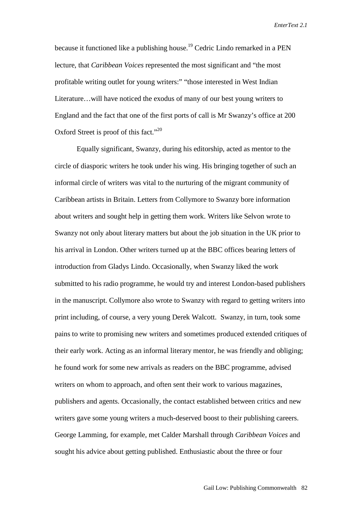because it functioned like a publishing house.19 Cedric Lindo remarked in a PEN lecture, that *Caribbean Voices* represented the most significant and "the most profitable writing outlet for young writers:" "those interested in West Indian Literature…will have noticed the exodus of many of our best young writers to England and the fact that one of the first ports of call is Mr Swanzy's office at 200 Oxford Street is proof of this fact."<sup>20</sup>

Equally significant, Swanzy, during his editorship, acted as mentor to the circle of diasporic writers he took under his wing. His bringing together of such an informal circle of writers was vital to the nurturing of the migrant community of Caribbean artists in Britain. Letters from Collymore to Swanzy bore information about writers and sought help in getting them work. Writers like Selvon wrote to Swanzy not only about literary matters but about the job situation in the UK prior to his arrival in London. Other writers turned up at the BBC offices bearing letters of introduction from Gladys Lindo. Occasionally, when Swanzy liked the work submitted to his radio programme, he would try and interest London-based publishers in the manuscript. Collymore also wrote to Swanzy with regard to getting writers into print including, of course, a very young Derek Walcott. Swanzy, in turn, took some pains to write to promising new writers and sometimes produced extended critiques of their early work. Acting as an informal literary mentor, he was friendly and obliging; he found work for some new arrivals as readers on the BBC programme, advised writers on whom to approach, and often sent their work to various magazines, publishers and agents. Occasionally, the contact established between critics and new writers gave some young writers a much-deserved boost to their publishing careers. George Lamming, for example, met Calder Marshall through *Caribbean Voices* and sought his advice about getting published. Enthusiastic about the three or four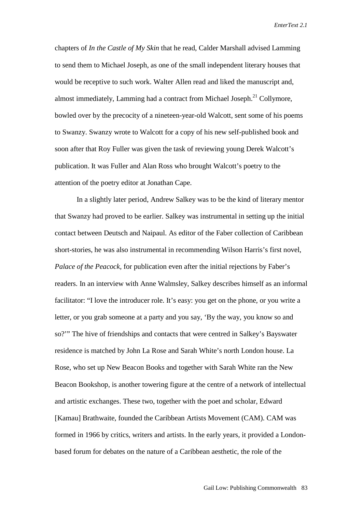chapters of *In the Castle of My Skin* that he read, Calder Marshall advised Lamming to send them to Michael Joseph, as one of the small independent literary houses that would be receptive to such work. Walter Allen read and liked the manuscript and, almost immediately, Lamming had a contract from Michael Joseph.<sup>21</sup> Collymore, bowled over by the precocity of a nineteen-year-old Walcott, sent some of his poems to Swanzy. Swanzy wrote to Walcott for a copy of his new self-published book and soon after that Roy Fuller was given the task of reviewing young Derek Walcott's publication. It was Fuller and Alan Ross who brought Walcott's poetry to the attention of the poetry editor at Jonathan Cape.

In a slightly later period, Andrew Salkey was to be the kind of literary mentor that Swanzy had proved to be earlier. Salkey was instrumental in setting up the initial contact between Deutsch and Naipaul. As editor of the Faber collection of Caribbean short-stories, he was also instrumental in recommending Wilson Harris's first novel, *Palace of the Peacock,* for publication even after the initial rejections by Faber's readers. In an interview with Anne Walmsley, Salkey describes himself as an informal facilitator: "I love the introducer role. It's easy: you get on the phone, or you write a letter, or you grab someone at a party and you say, 'By the way, you know so and so?'" The hive of friendships and contacts that were centred in Salkey's Bayswater residence is matched by John La Rose and Sarah White's north London house. La Rose, who set up New Beacon Books and together with Sarah White ran the New Beacon Bookshop, is another towering figure at the centre of a network of intellectual and artistic exchanges. These two, together with the poet and scholar, Edward [Kamau] Brathwaite, founded the Caribbean Artists Movement (CAM). CAM was formed in 1966 by critics, writers and artists. In the early years, it provided a Londonbased forum for debates on the nature of a Caribbean aesthetic, the role of the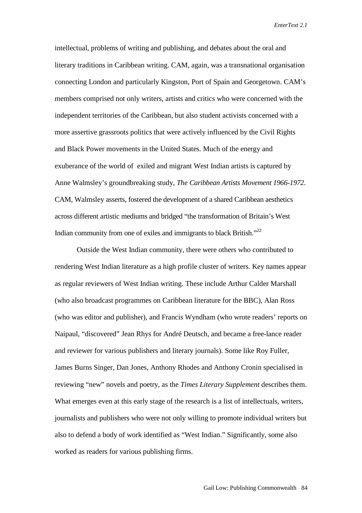intellectual, problems of writing and publishing, and debates about the oral and literary traditions in Caribbean writing. CAM, again, was a transnational organisation connecting London and particularly Kingston, Port of Spain and Georgetown. CAM's members comprised not only writers, artists and critics who were concerned with the independent territories of the Caribbean, but also student activists concerned with a more assertive grassroots politics that were actively influenced by the Civil Rights and Black Power movements in the United States. Much of the energy and exuberance of the world of exiled and migrant West Indian artists is captured by Anne Walmsley's groundbreaking study, *The Caribbean Artists Movement 1966-1972*. CAM, Walmsley asserts, fostered the development of a shared Caribbean aesthetics across different artistic mediums and bridged "the transformation of Britain's West Indian community from one of exiles and immigrants to black British."<sup>22</sup>

Outside the West Indian community, there were others who contributed to rendering West Indian literature as a high profile cluster of writers. Key names appear as regular reviewers of West Indian writing. These include Arthur Calder Marshall (who also broadcast programmes on Caribbean literature for the BBC), Alan Ross (who was editor and publisher), and Francis Wyndham (who wrote readers' reports on Naipaul, "discovered" Jean Rhys for André Deutsch, and became a free-lance reader and reviewer for various publishers and literary journals). Some like Roy Fuller, James Burns Singer, Dan Jones, Anthony Rhodes and Anthony Cronin specialised in reviewing "new" novels and poetry, as the *Times Literary Supplement* describes them. What emerges even at this early stage of the research is a list of intellectuals, writers, journalists and publishers who were not only willing to promote individual writers but also to defend a body of work identified as "West Indian." Significantly, some also worked as readers for various publishing firms.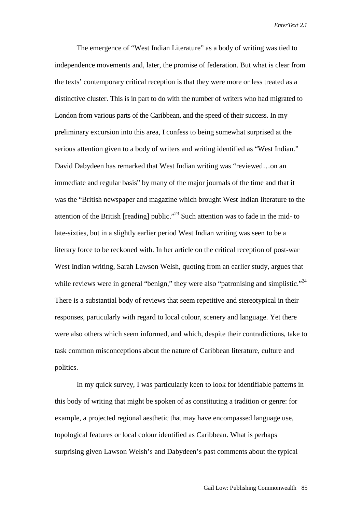The emergence of "West Indian Literature" as a body of writing was tied to independence movements and, later, the promise of federation. But what is clear from the texts' contemporary critical reception is that they were more or less treated as a distinctive cluster. This is in part to do with the number of writers who had migrated to London from various parts of the Caribbean, and the speed of their success. In my preliminary excursion into this area, I confess to being somewhat surprised at the serious attention given to a body of writers and writing identified as "West Indian." David Dabydeen has remarked that West Indian writing was "reviewed…on an immediate and regular basis" by many of the major journals of the time and that it was the "British newspaper and magazine which brought West Indian literature to the attention of the British [reading] public."<sup>23</sup> Such attention was to fade in the mid- to late-sixties, but in a slightly earlier period West Indian writing was seen to be a literary force to be reckoned with. In her article on the critical reception of post-war West Indian writing, Sarah Lawson Welsh, quoting from an earlier study, argues that while reviews were in general "benign," they were also "patronising and simplistic."<sup>24</sup> There is a substantial body of reviews that seem repetitive and stereotypical in their responses, particularly with regard to local colour, scenery and language. Yet there were also others which seem informed, and which, despite their contradictions, take to task common misconceptions about the nature of Caribbean literature, culture and politics.

In my quick survey, I was particularly keen to look for identifiable patterns in this body of writing that might be spoken of as constituting a tradition or genre: for example, a projected regional aesthetic that may have encompassed language use, topological features or local colour identified as Caribbean. What is perhaps surprising given Lawson Welsh's and Dabydeen's past comments about the typical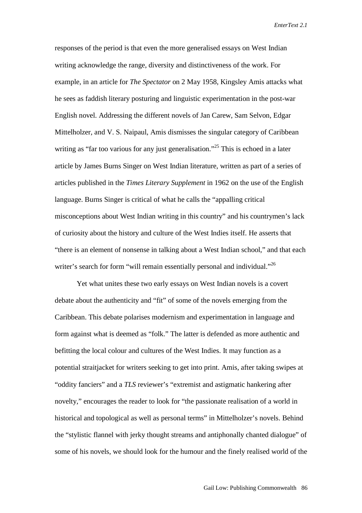responses of the period is that even the more generalised essays on West Indian writing acknowledge the range, diversity and distinctiveness of the work. For example, in an article for *The Spectator* on 2 May 1958, Kingsley Amis attacks what he sees as faddish literary posturing and linguistic experimentation in the post-war English novel. Addressing the different novels of Jan Carew, Sam Selvon, Edgar Mittelholzer, and V. S. Naipaul, Amis dismisses the singular category of Caribbean writing as "far too various for any just generalisation."<sup>25</sup> This is echoed in a later article by James Burns Singer on West Indian literature, written as part of a series of articles published in the *Times Literary Supplement* in 1962 on the use of the English language. Burns Singer is critical of what he calls the "appalling critical misconceptions about West Indian writing in this country" and his countrymen's lack of curiosity about the history and culture of the West Indies itself. He asserts that "there is an element of nonsense in talking about a West Indian school," and that each writer's search for form "will remain essentially personal and individual."<sup>26</sup>

Yet what unites these two early essays on West Indian novels is a covert debate about the authenticity and "fit" of some of the novels emerging from the Caribbean. This debate polarises modernism and experimentation in language and form against what is deemed as "folk." The latter is defended as more authentic and befitting the local colour and cultures of the West Indies. It may function as a potential straitjacket for writers seeking to get into print. Amis, after taking swipes at "oddity fanciers" and a *TLS* reviewer's "extremist and astigmatic hankering after novelty," encourages the reader to look for "the passionate realisation of a world in historical and topological as well as personal terms" in Mittelholzer's novels. Behind the "stylistic flannel with jerky thought streams and antiphonally chanted dialogue" of some of his novels, we should look for the humour and the finely realised world of the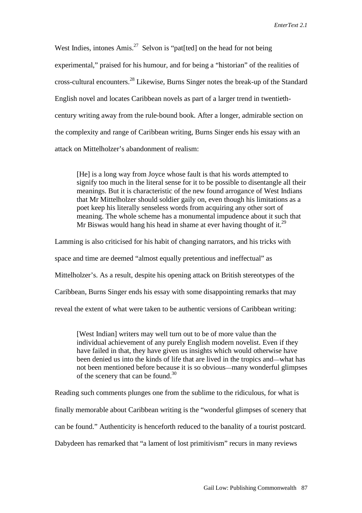West Indies, intones Amis.<sup>27</sup> Selvon is "pat[ted] on the head for not being experimental," praised for his humour, and for being a "historian" of the realities of cross-cultural encounters.28 Likewise, Burns Singer notes the break-up of the Standard English novel and locates Caribbean novels as part of a larger trend in twentiethcentury writing away from the rule-bound book. After a longer, admirable section on the complexity and range of Caribbean writing, Burns Singer ends his essay with an attack on Mittelholzer's abandonment of realism:

[He] is a long way from Joyce whose fault is that his words attempted to signify too much in the literal sense for it to be possible to disentangle all their meanings. But it is characteristic of the new found arrogance of West Indians that Mr Mittelholzer should soldier gaily on, even though his limitations as a poet keep his literally senseless words from acquiring any other sort of meaning. The whole scheme has a monumental impudence about it such that Mr Biswas would hang his head in shame at ever having thought of it.<sup>29</sup>

Lamming is also criticised for his habit of changing narrators, and his tricks with space and time are deemed "almost equally pretentious and ineffectual" as Mittelholzer's. As a result, despite his opening attack on British stereotypes of the Caribbean, Burns Singer ends his essay with some disappointing remarks that may reveal the extent of what were taken to be authentic versions of Caribbean writing:

[West Indian] writers may well turn out to be of more value than the individual achievement of any purely English modern novelist. Even if they have failed in that, they have given us insights which would otherwise have been denied us into the kinds of life that are lived in the tropics and—what has not been mentioned before because it is so obvious—many wonderful glimpses of the scenery that can be found. $30$ 

Reading such comments plunges one from the sublime to the ridiculous, for what is finally memorable about Caribbean writing is the "wonderful glimpses of scenery that can be found." Authenticity is henceforth reduced to the banality of a tourist postcard. Dabydeen has remarked that "a lament of lost primitivism" recurs in many reviews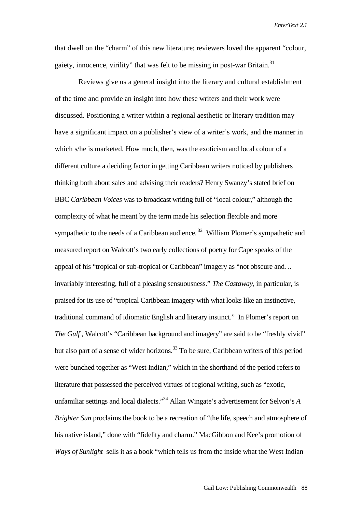that dwell on the "charm" of this new literature; reviewers loved the apparent "colour, gaiety, innocence, virility" that was felt to be missing in post-war Britain.<sup>31</sup>

 Reviews give us a general insight into the literary and cultural establishment of the time and provide an insight into how these writers and their work were discussed. Positioning a writer within a regional aesthetic or literary tradition may have a significant impact on a publisher's view of a writer's work, and the manner in which s/he is marketed. How much, then, was the exoticism and local colour of a different culture a deciding factor in getting Caribbean writers noticed by publishers thinking both about sales and advising their readers? Henry Swanzy's stated brief on BBC *Caribbean Voices* was to broadcast writing full of "local colour," although the complexity of what he meant by the term made his selection flexible and more sympathetic to the needs of a Caribbean audience.<sup>32</sup> William Plomer's sympathetic and measured report on Walcott's two early collections of poetry for Cape speaks of the appeal of his "tropical or sub-tropical or Caribbean" imagery as "not obscure and… invariably interesting, full of a pleasing sensuousness." *The Castaway*, in particular, is praised for its use of "tropical Caribbean imagery with what looks like an instinctive, traditional command of idiomatic English and literary instinct." In Plomer's report on *The Gulf*, Walcott's "Caribbean background and imagery" are said to be "freshly vivid" but also part of a sense of wider horizons.<sup>33</sup> To be sure, Caribbean writers of this period were bunched together as "West Indian," which in the shorthand of the period refers to literature that possessed the perceived virtues of regional writing, such as "exotic, unfamiliar settings and local dialects."34 Allan Wingate's advertisement for Selvon's *A Brighter Sun* proclaims the book to be a recreation of "the life, speech and atmosphere of his native island," done with "fidelity and charm." MacGibbon and Kee's promotion of *Ways of Sunlight* sells it as a book "which tells us from the inside what the West Indian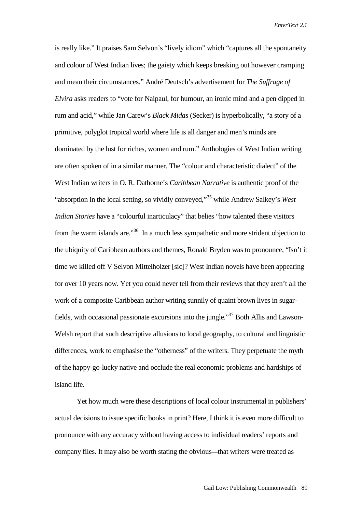is really like." It praises Sam Selvon's "lively idiom" which "captures all the spontaneity and colour of West Indian lives; the gaiety which keeps breaking out however cramping and mean their circumstances." André Deutsch's advertisement for *The Suffrage of Elvira* asks readers to "vote for Naipaul, for humour, an ironic mind and a pen dipped in rum and acid," while Jan Carew's *Black Midas* (Secker) is hyperbolically, "a story of a primitive, polyglot tropical world where life is all danger and men's minds are dominated by the lust for riches, women and rum." Anthologies of West Indian writing are often spoken of in a similar manner. The "colour and characteristic dialect" of the West Indian writers in O. R. Dathorne's *Caribbean Narrative* is authentic proof of the "absorption in the local setting, so vividly conveyed,"35 while Andrew Salkey's *West Indian Stories* have a "colourful inarticulacy" that belies "how talented these visitors from the warm islands are."36 In a much less sympathetic and more strident objection to the ubiquity of Caribbean authors and themes, Ronald Bryden was to pronounce, "Isn't it time we killed off V Selvon Mittelholzer [sic]? West Indian novels have been appearing for over 10 years now. Yet you could never tell from their reviews that they aren't all the work of a composite Caribbean author writing sunnily of quaint brown lives in sugarfields, with occasional passionate excursions into the jungle."37 Both Allis and Lawson-Welsh report that such descriptive allusions to local geography, to cultural and linguistic differences, work to emphasise the "otherness" of the writers. They perpetuate the myth of the happy-go-lucky native and occlude the real economic problems and hardships of island life.

Yet how much were these descriptions of local colour instrumental in publishers' actual decisions to issue specific books in print? Here, I think it is even more difficult to pronounce with any accuracy without having access to individual readers' reports and company files. It may also be worth stating the obvious—that writers were treated as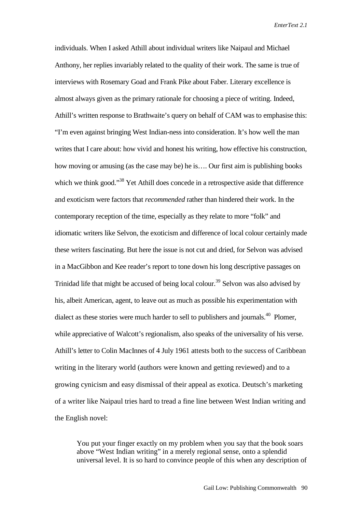individuals. When I asked Athill about individual writers like Naipaul and Michael Anthony, her replies invariably related to the quality of their work. The same is true of interviews with Rosemary Goad and Frank Pike about Faber. Literary excellence is almost always given as the primary rationale for choosing a piece of writing. Indeed, Athill's written response to Brathwaite's query on behalf of CAM was to emphasise this: "I'm even against bringing West Indian-ness into consideration. It's how well the man writes that I care about: how vivid and honest his writing, how effective his construction, how moving or amusing (as the case may be) he is…. Our first aim is publishing books which we think good."<sup>38</sup> Yet Athill does concede in a retrospective aside that difference and exoticism were factors that *recommended* rather than hindered their work. In the contemporary reception of the time, especially as they relate to more "folk" and idiomatic writers like Selvon, the exoticism and difference of local colour certainly made these writers fascinating. But here the issue is not cut and dried, for Selvon was advised in a MacGibbon and Kee reader's report to tone down his long descriptive passages on Trinidad life that might be accused of being local colour.<sup>39</sup> Selvon was also advised by his, albeit American, agent, to leave out as much as possible his experimentation with dialect as these stories were much harder to sell to publishers and journals.<sup>40</sup> Plomer, while appreciative of Walcott's regionalism, also speaks of the universality of his verse. Athill's letter to Colin MacInnes of 4 July 1961 attests both to the success of Caribbean writing in the literary world (authors were known and getting reviewed) and to a growing cynicism and easy dismissal of their appeal as exotica. Deutsch's marketing of a writer like Naipaul tries hard to tread a fine line between West Indian writing and the English novel:

You put your finger exactly on my problem when you say that the book soars above "West Indian writing" in a merely regional sense, onto a splendid universal level. It is so hard to convince people of this when any description of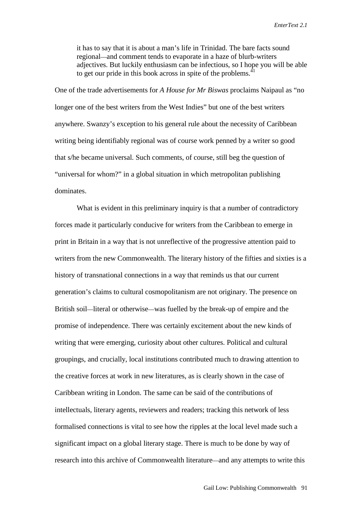it has to say that it is about a man's life in Trinidad. The bare facts sound regional—and comment tends to evaporate in a haze of blurb-writers adjectives. But luckily enthusiasm can be infectious, so I hope you will be able to get our pride in this book across in spite of the problems.<sup>41</sup>

One of the trade advertisements for *A House for Mr Biswas* proclaims Naipaul as "no longer one of the best writers from the West Indies" but one of the best writers anywhere. Swanzy's exception to his general rule about the necessity of Caribbean writing being identifiably regional was of course work penned by a writer so good that s/he became universal. Such comments, of course, still beg the question of "universal for whom?" in a global situation in which metropolitan publishing dominates.

What is evident in this preliminary inquiry is that a number of contradictory forces made it particularly conducive for writers from the Caribbean to emerge in print in Britain in a way that is not unreflective of the progressive attention paid to writers from the new Commonwealth. The literary history of the fifties and sixties is a history of transnational connections in a way that reminds us that our current generation's claims to cultural cosmopolitanism are not originary. The presence on British soil—literal or otherwise—was fuelled by the break-up of empire and the promise of independence. There was certainly excitement about the new kinds of writing that were emerging, curiosity about other cultures. Political and cultural groupings, and crucially, local institutions contributed much to drawing attention to the creative forces at work in new literatures, as is clearly shown in the case of Caribbean writing in London. The same can be said of the contributions of intellectuals, literary agents, reviewers and readers; tracking this network of less formalised connections is vital to see how the ripples at the local level made such a significant impact on a global literary stage. There is much to be done by way of research into this archive of Commonwealth literature—and any attempts to write this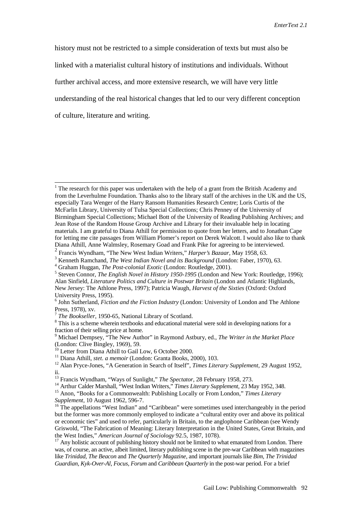history must not be restricted to a simple consideration of texts but must also be linked with a materialist cultural history of institutions and individuals. Without further archival access, and more extensive research, we will have very little understanding of the real historical changes that led to our very different conception of culture, literature and writing.

<sup>&</sup>lt;sup>1</sup> The research for this paper was undertaken with the help of a grant from the British Academy and from the Leverhulme Foundation. Thanks also to the library staff of the archives in the UK and the US, especially Tara Wenger of the Harry Ransom Humanities Research Centre; Loris Curtis of the McFarlin Library, University of Tulsa Special Collections; Chris Penney of the University of Birmingham Special Collections; Michael Bott of the University of Reading Publishing Archives; and Jean Rose of the Random House Group Archive and Library for their invaluable help in locating materials. I am grateful to Diana Athill for permission to quote from her letters, and to Jonathan Cape for letting me cite passages from William Plomer's report on Derek Walcott. I would also like to thank Diana Athill, Anne Walmsley, Rosemary Goad and Frank Pike for agreeing to be interviewed.

<sup>2</sup> Francis Wyndham, "The New West Indian Writers," *Harper's Bazaar,* May 1958, 63.

<sup>&</sup>lt;sup>3</sup> Kenneth Ramchand, *The West Indian Novel and its Background* (London: Faber, 1970), 63.<br><sup>4</sup> Graham Huggan, *The Post colonial Exotic* (London: Poutladge, 2001).

<sup>&</sup>lt;sup>4</sup> Graham Huggan, *The Post-colonial Exotic* (London: Routledge, 2001).

<sup>&</sup>lt;sup>5</sup> Steven Connor, *The English Novel in History 1950-1995* (London and New York: Routledge, 1996); Alan Sinfield, *Literature Politics and Culture in Postwar Britain* (London and Atlantic Highlands, New Jersey: The Athlone Press, 1997); Patricia Waugh, *Harvest of the Sixties* (Oxford: Oxford University Press, 1995). <sup>6</sup>

<sup>&</sup>lt;sup>6</sup> John Sutherland, *Fiction and the Fiction Industry* (London: University of London and The Athlone Press, 1978), xv.<br><sup>7</sup> The Bookseller, 1950-65, National Library of Scotland.

<sup>&</sup>lt;sup>8</sup> This is a scheme wherein textbooks and educational material were sold in developing nations for a fraction of their selling price at home.

<sup>&</sup>lt;sup>9</sup> Michael Dempsey, "The New Author" in Raymond Astbury, ed., *The Writer in the Market Place* (London: Clive Bingley, 1969), 59.<br><sup>10</sup> Letter from Diana Athill to Gail Low, 6 October 2000.

<sup>&</sup>lt;sup>11</sup> Diana Athill, *stet. a memoir* (London: Granta Books, 2000), 103.<br><sup>12</sup> Alan Pryce-Jones, "A Generation in Search of Itself", *Times Literary Supplement*, 29 August 1952, ii.

<sup>&</sup>lt;sup>13</sup> Francis Wyndham, "Ways of Sunlight," *The Spectator*, 28 February 1958, 273.<br><sup>14</sup> Arthur Calder Marshall, "West Indian Writers," *Times Literary Supplement*, 23 May 1952, 348.<br><sup>15</sup> Anon, "Books for a Commonwealth: Pub

*Supplement*, 10 August 1962, 596-7.<br><sup>16</sup> The appellations "West Indian" and "Caribbean" were sometimes used interchangeably in the period

but the former was more commonly employed to indicate a "cultural entity over and above its political or economic ties" and used to refer, particularly in Britain, to the anglophone Caribbean (see Wendy Griswold, "The Fabrication of Meaning: Literary Interpretation in the United States, Great Britain, and the West Indies," *American Journal of Sociology* 92.5, 1987, 1078).<br><sup>17</sup> Any holistic account of publishing history should not be limited to what emanated from London. There

was, of course, an active, albeit limited, literary publishing scene in the pre-war Caribbean with magazines like *Trinidad, The Beacon* and *The Quarterly Magazine,* and important journals like *Bim, The Trinidad Guardian, Kyk-Over-Al*, *Focus, Forum* and *Caribbean Quarterly* in the post-war period. For a brief